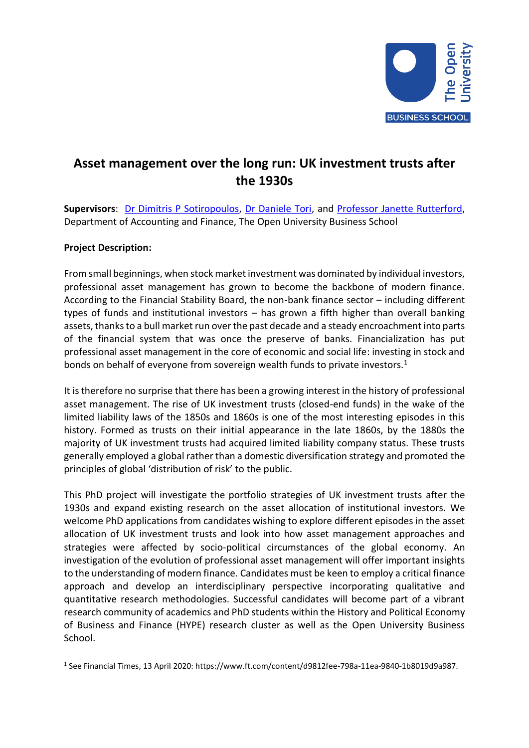

## **Asset management over the long run: UK investment trusts after the 1930s**

**Supervisors**: [Dr Dimitris P Sotiropoulos,](https://www.open.ac.uk/people/ds23848) [Dr Daniele Tori,](https://www.open.ac.uk/people/dt6489) and [Professor Janette Rutterford,](https://www.open.ac.uk/ikd/people/janette-rutterford) Department of Accounting and Finance, The Open University Business School

## **Project Description:**

From small beginnings, when stock market investment was dominated by individual investors, professional asset management has grown to become the backbone of modern finance. According to the Financial Stability Board, the non-bank finance sector – including different types of funds and institutional investors – has grown a fifth higher than overall banking assets, thanks to a bull market run over the past decade and a steady encroachment into parts of the financial system that was once the preserve of banks. Financialization has put professional asset management in the core of economic and social life: investing in stock and bonds on behalf of everyone from sovereign wealth funds to private investors.<sup>1</sup>

It is therefore no surprise that there has been a growing interest in the history of professional asset management. The rise of UK investment trusts (closed-end funds) in the wake of the limited liability laws of the 1850s and 1860s is one of the most interesting episodes in this history. Formed as trusts on their initial appearance in the late 1860s, by the 1880s the majority of UK investment trusts had acquired limited liability company status. These trusts generally employed a global rather than a domestic diversification strategy and promoted the principles of global 'distribution of risk' to the public.

This PhD project will investigate the portfolio strategies of UK investment trusts after the 1930s and expand existing research on the asset allocation of institutional investors. We welcome PhD applications from candidates wishing to explore different episodes in the asset allocation of UK investment trusts and look into how asset management approaches and strategies were affected by socio-political circumstances of the global economy. An investigation of the evolution of professional asset management will offer important insights to the understanding of modern finance. Candidates must be keen to employ a critical finance approach and develop an interdisciplinary perspective incorporating qualitative and quantitative research methodologies. Successful candidates will become part of a vibrant research community of academics and PhD students within the History and Political Economy of Business and Finance (HYPE) research cluster as well as the Open University Business School.

<sup>1</sup> See Financial Times, 13 April 2020: https://www.ft.com/content/d9812fee-798a-11ea-9840-1b8019d9a987.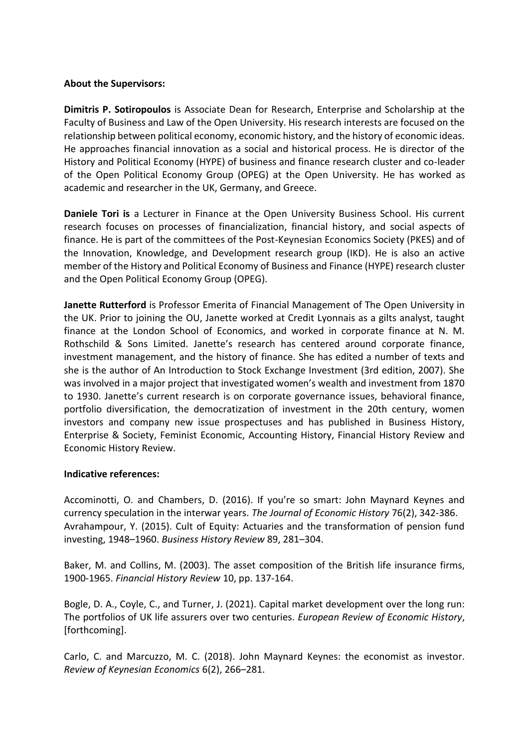## **About the Supervisors:**

**Dimitris P. Sotiropoulos** is Associate Dean for Research, Enterprise and Scholarship at the Faculty of Business and Law of the Open University. His research interests are focused on the relationship between political economy, economic history, and the history of economic ideas. He approaches financial innovation as a social and historical process. He is director of the History and Political Economy (HYPE) of business and finance research cluster and co-leader of the Open Political Economy Group (OPEG) at the Open University. He has worked as academic and researcher in the UK, Germany, and Greece.

**Daniele Tori is** a Lecturer in Finance at the Open University Business School. His current research focuses on processes of financialization, financial history, and social aspects of finance. He is part of the committees of the Post-Keynesian Economics Society (PKES) and of the Innovation, Knowledge, and Development research group (IKD). He is also an active member of the History and Political Economy of Business and Finance (HYPE) research cluster and the Open Political Economy Group (OPEG).

**Janette Rutterford** is Professor Emerita of Financial Management of The Open University in the UK. Prior to joining the OU, Janette worked at Credit Lyonnais as a gilts analyst, taught finance at the London School of Economics, and worked in corporate finance at N. M. Rothschild & Sons Limited. Janette's research has centered around corporate finance, investment management, and the history of finance. She has edited a number of texts and she is the author of An Introduction to Stock Exchange Investment (3rd edition, 2007). She was involved in a major project that investigated women's wealth and investment from 1870 to 1930. Janette's current research is on corporate governance issues, behavioral finance, portfolio diversification, the democratization of investment in the 20th century, women investors and company new issue prospectuses and has published in Business History, Enterprise & Society, Feminist Economic, Accounting History, Financial History Review and Economic History Review.

## **Indicative references:**

Accominotti, O. and Chambers, D. (2016). If you're so smart: John Maynard Keynes and currency speculation in the interwar years. *The Journal of Economic History* 76(2), 342-386. Avrahampour, Y. (2015). Cult of Equity: Actuaries and the transformation of pension fund investing, 1948–1960. *Business History Review* 89, 281–304.

Baker, M. and Collins, M. (2003). The asset composition of the British life insurance firms, 1900-1965. *Financial History Review* 10, pp. 137-164.

Bogle, D. A., Coyle, C., and Turner, J. (2021). Capital market development over the long run: The portfolios of UK life assurers over two centuries. *European Review of Economic History*, [forthcoming].

Carlo, C. and Marcuzzo, M. C. (2018). John Maynard Keynes: the economist as investor. *Review of Keynesian Economics* 6(2), 266–281.